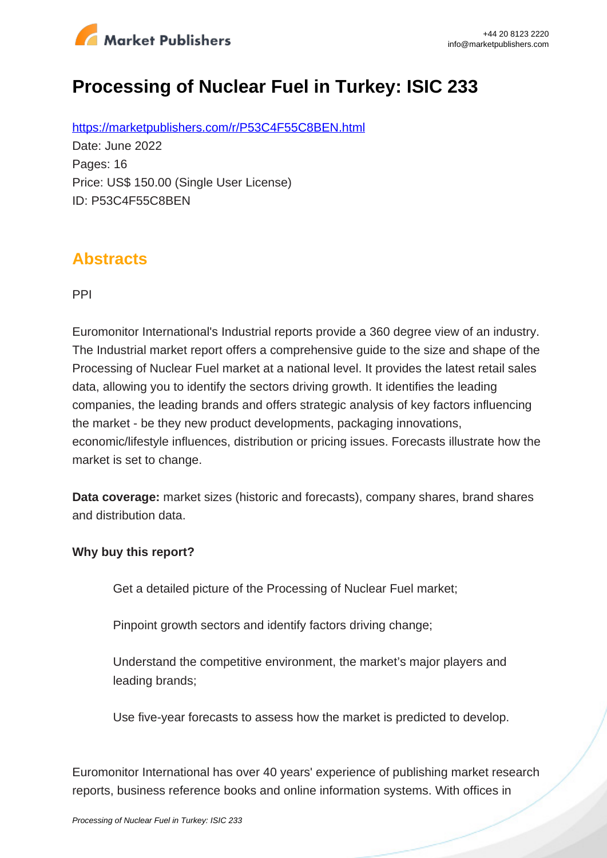

# **Processing of Nuclear Fuel in Turkey: ISIC 233**

https://marketpublishers.com/r/P53C4F55C8BEN.html Date: June 2022 Pages: 16 Price: US\$ 150.00 (Single User License) ID: P53C4F55C8BEN

### **Abstracts**

PPI

Euromonitor International's Industrial reports provide a 360 degree view of an industry. The Industrial market report offers a comprehensive guide to the size and shape of the Processing of Nuclear Fuel market at a national level. It provides the latest retail sales data, allowing you to identify the sectors driving growth. It identifies the leading companies, the leading brands and offers strategic analysis of key factors influencing the market - be they new product developments, packaging innovations, economic/lifestyle influences, distribution or pricing issues. Forecasts illustrate how the market is set to change.

**Data coverage:** market sizes (historic and forecasts), company shares, brand shares and distribution data.

#### **Why buy this report?**

Get a detailed picture of the Processing of Nuclear Fuel market;

Pinpoint growth sectors and identify factors driving change;

Understand the competitive environment, the market's major players and leading brands;

Use five-year forecasts to assess how the market is predicted to develop.

Euromonitor International has over 40 years' experience of publishing market research reports, business reference books and online information systems. With offices in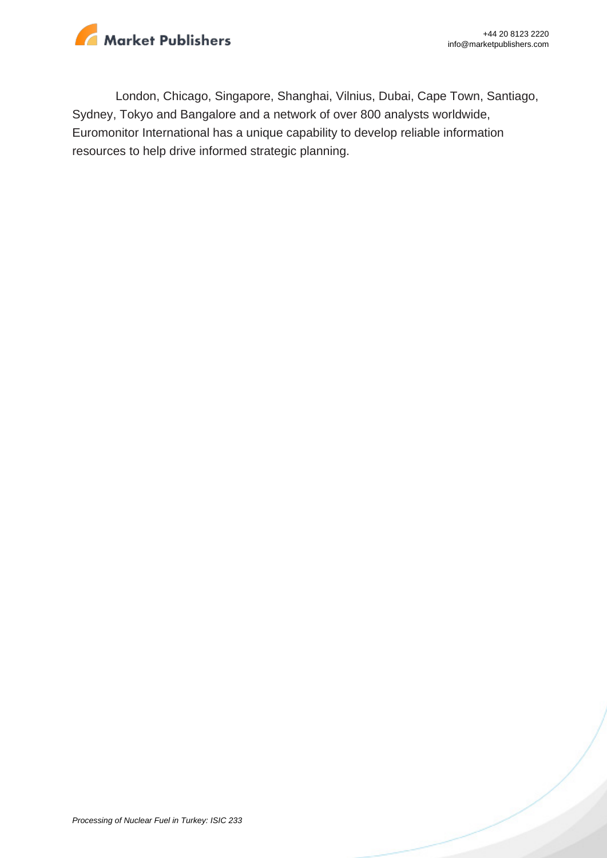

London, Chicago, Singapore, Shanghai, Vilnius, Dubai, Cape Town, Santiago, Sydney, Tokyo and Bangalore and a network of over 800 analysts worldwide, Euromonitor International has a unique capability to develop reliable information resources to help drive informed strategic planning.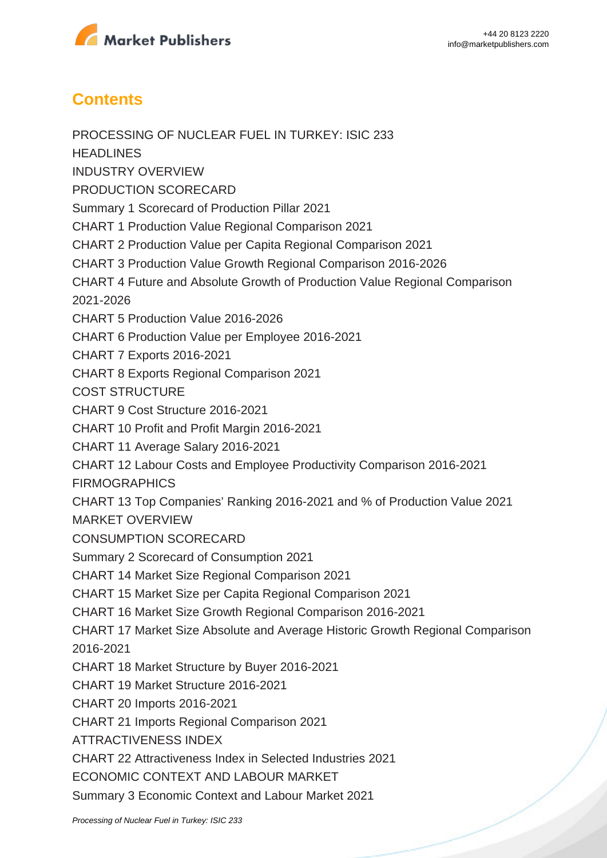

## **Contents**

PROCESSING OF NUCLEAR FUEL IN TURKEY: ISIC 233 **HEADLINES** INDUSTRY OVERVIEW PRODUCTION SCORECARD Summary 1 Scorecard of Production Pillar 2021 CHART 1 Production Value Regional Comparison 2021 CHART 2 Production Value per Capita Regional Comparison 2021 CHART 3 Production Value Growth Regional Comparison 2016-2026 CHART 4 Future and Absolute Growth of Production Value Regional Comparison 2021-2026 CHART 5 Production Value 2016-2026 CHART 6 Production Value per Employee 2016-2021 CHART 7 Exports 2016-2021 CHART 8 Exports Regional Comparison 2021 COST STRUCTURE CHART 9 Cost Structure 2016-2021 CHART 10 Profit and Profit Margin 2016-2021 CHART 11 Average Salary 2016-2021 CHART 12 Labour Costs and Employee Productivity Comparison 2016-2021 **FIRMOGRAPHICS** CHART 13 Top Companies' Ranking 2016-2021 and % of Production Value 2021 MARKET OVERVIEW CONSUMPTION SCORECARD Summary 2 Scorecard of Consumption 2021 CHART 14 Market Size Regional Comparison 2021 CHART 15 Market Size per Capita Regional Comparison 2021 CHART 16 Market Size Growth Regional Comparison 2016-2021 CHART 17 Market Size Absolute and Average Historic Growth Regional Comparison 2016-2021 CHART 18 Market Structure by Buyer 2016-2021 CHART 19 Market Structure 2016-2021 CHART 20 Imports 2016-2021 CHART 21 Imports Regional Comparison 2021 ATTRACTIVENESS INDEX CHART 22 Attractiveness Index in Selected Industries 2021 ECONOMIC CONTEXT AND LABOUR MARKET Summary 3 Economic Context and Labour Market 2021